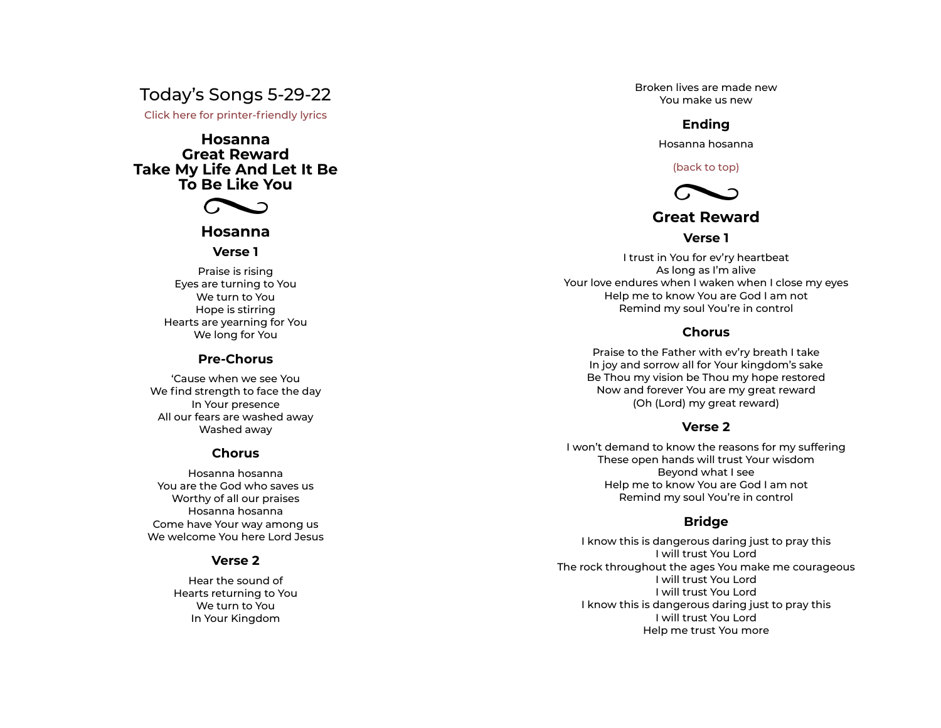# Today's Songs 5-29-22

Click here for printer-friendly lyrics

**Hosanna Great Reward Take My Life And Let It Be To Be Like You**



#### **Hosanna**

#### **Verse 1**

Praise is rising Eyes are turning to You We turn to You Hope is stirring Hearts are yearning for You We long for You

#### **Pre-Chorus**

'Cause when we see You We find strength to face the day In Your presence All our fears are washed away Washed away

#### **Chorus**

Hosanna hosanna You are the God who saves us Worthy of all our praises Hosanna hosanna Come have Your way among us We welcome You here Lord Jesus

#### **Verse 2**

Hear the sound of Hearts returning to You We turn to You In Your Kingdom

Broken lives are made new You make us new

## **Ending**

Hosanna hosanna

#### (back to top)



## **Great Reward**

#### **Verse 1**

I trust in You for ev'ry heartbeat As long as I'm alive Your love endures when I waken when I close my eyes Help me to know You are God I am not Remind my soul You're in control

#### **Chorus**

Praise to the Father with ev'ry breath I take In joy and sorrow all for Your kingdom's sake Be Thou my vision be Thou my hope restored Now and forever You are my great reward (Oh (Lord) my great reward)

#### **Verse 2**

I won't demand to know the reasons for my suffering These open hands will trust Your wisdom Beyond what I see Help me to know You are God I am not Remind my soul You're in control

#### **Bridge**

I know this is dangerous daring just to pray this I will trust You Lord The rock throughout the ages You make me courageous I will trust You Lord I will trust You Lord I know this is dangerous daring just to pray this I will trust You Lord Help me trust You more